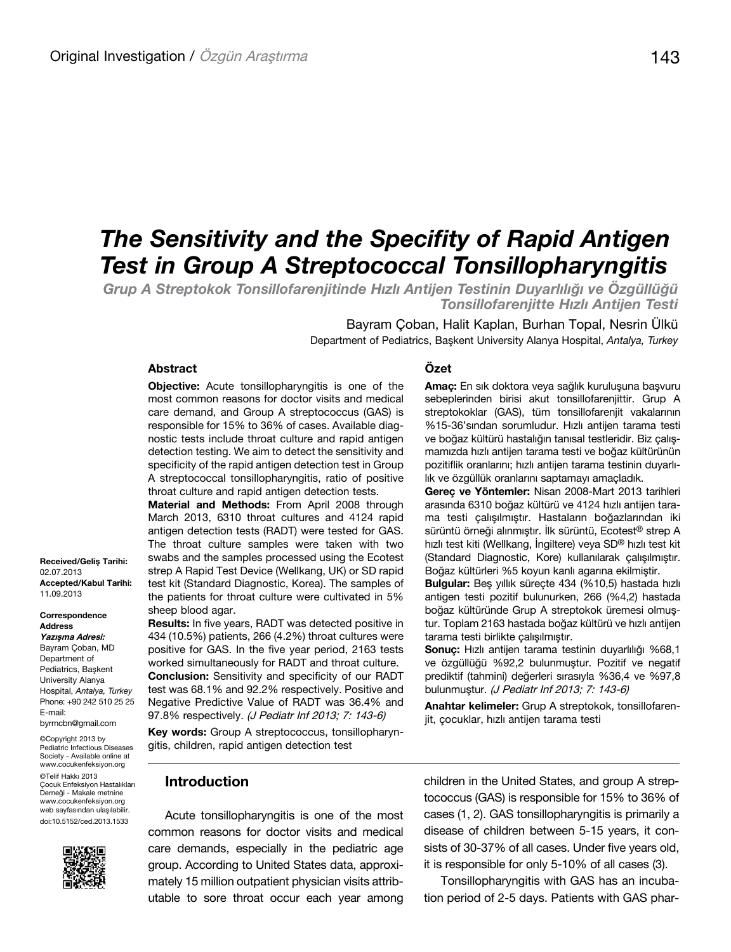# *The Sensitivity and the Specifity of Rapid Antigen Test in Group A Streptococcal Tonsillopharyngitis*

*Grup A Streptokok Tonsillofarenjitinde Hızlı Antijen Testinin Duyarlılığı ve Özgüllüğü Tonsillofarenjitte Hızlı Antijen Testi*

**Özet** 

Bayram Çoban, Halit Kaplan, Burhan Topal, Nesrin Ülkü Department of Pediatrics, Başkent University Alanya Hospital, *Antalya, Turkey*

## **Abstract**

**Objective:** Acute tonsillopharyngitis is one of the most common reasons for doctor visits and medical care demand, and Group A streptococcus (GAS) is responsible for 15% to 36% of cases. Available diagnostic tests include throat culture and rapid antigen detection testing. We aim to detect the sensitivity and specificity of the rapid antigen detection test in Group A streptococcal tonsillopharyngitis, ratio of positive throat culture and rapid antigen detection tests.

**Material and Methods:** From April 2008 through March 2013, 6310 throat cultures and 4124 rapid antigen detection tests (RADT) were tested for GAS. The throat culture samples were taken with two swabs and the samples processed using the Ecotest strep A Rapid Test Device (Wellkang, UK) or SD rapid test kit (Standard Diagnostic, Korea). The samples of the patients for throat culture were cultivated in 5% sheep blood agar.

**Results:** In five years, RADT was detected positive in 434 (10.5%) patients, 266 (4.2%) throat cultures were positive for GAS. In the five year period, 2163 tests worked simultaneously for RADT and throat culture. **Conclusion:** Sensitivity and specificity of our RADT test was 68.1% and 92.2% respectively. Positive and Negative Predictive Value of RADT was 36.4% and 97.8% respectively. (J Pediatr Inf 2013; 7: 143-6)

**Key words:** Group A streptococcus, tonsillopharyngitis, children, rapid antigen detection test

#### **Amaç:** En sık doktora veya sağlık kuruluşuna başvuru sebeplerinden birisi akut tonsillofarenjittir. Grup A streptokoklar (GAS), tüm tonsillofarenjit vakalarının %15-36'sından sorumludur. Hızlı antijen tarama testi ve boğaz kültürü hastalığın tanısal testleridir. Biz çalışmamızda hızlı antijen tarama testi ve boğaz kültürünün pozitiflik oranlarını; hızlı antijen tarama testinin duyarlılık ve özgüllük oranlarını saptamayı amaçladık.

**Gereç ve Yöntemler:** Nisan 2008-Mart 2013 tarihleri arasında 6310 boğaz kültürü ve 4124 hızlı antijen tarama testi çalışılmıştır. Hastaların boğazlarından iki sürüntü örneği alınmıştır. İlk sürüntü, Ecotest® strep A hızlı test kiti (Wellkang, İngiltere) veya SD® hızlı test kit (Standard Diagnostic, Kore) kullanılarak çalışılmıştır. Boğaz kültürleri %5 koyun kanlı agarına ekilmiştir.

**Bulgular:** Beş yıllık süreçte 434 (%10,5) hastada hızlı antigen testi pozitif bulunurken, 266 (%4,2) hastada boğaz kültüründe Grup A streptokok üremesi olmuştur. Toplam 2163 hastada boğaz kültürü ve hızlı antijen tarama testi birlikte çalışılmıştır.

**Sonuç:** Hızlı antijen tarama testinin duyarlılığı %68,1 ve özgüllüğü %92,2 bulunmuştur. Pozitif ve negatif prediktif (tahmini) değerleri sırasıyla %36,4 ve %97,8 bulunmuştur. (J Pediatr Inf 2013; 7: 143-6)

**Anahtar kelimeler:** Grup A streptokok, tonsillofarenjit, çocuklar, hızlı antijen tarama testi

## **Introduction**

Acute tonsillopharyngitis is one of the most common reasons for doctor visits and medical care demands, especially in the pediatric age group. According to United States data, approximately 15 million outpatient physician visits attributable to sore throat occur each year among children in the United States, and group A streptococcus (GAS) is responsible for 15% to 36% of cases (1, 2). GAS tonsillopharyngitis is primarily a disease of children between 5-15 years, it consists of 30-37% of all cases. Under five years old, it is responsible for only 5-10% of all cases (3).

Tonsillopharyngitis with GAS has an incubation period of 2-5 days. Patients with GAS phar-

**Received/Geliş Tarihi:**  02.07.2013 **Accepted/Kabul Tarihi:**  11.09.2013

**Correspondence Address Yazışma Adresi:** Bayram Çoban, MD Department of Pediatrics, Başkent University Alanya Hospital, *Antalya, Turkey* Phone: +90 242 510 25 25 E-mail: byrmcbn@gmail.com

©Copyright 2013 by Pediatric Infectious Diseases Society - Available online at www.cocukenfeksiyon.org ©Telif Hakkı 2013 Çocuk Enfeksiyon Hastalıkları Derneği - Makale metnine www.cocukenfeksiyon.org web sayfasından ulaşılabilir. doi:10.5152/ced.2013.1533

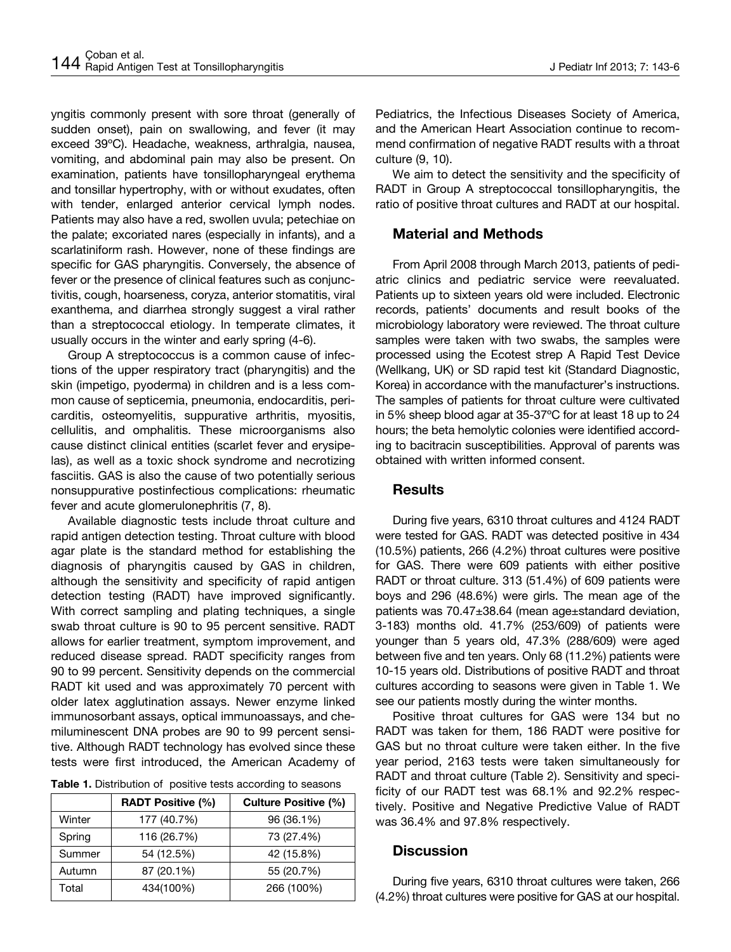yngitis commonly present with sore throat (generally of sudden onset), pain on swallowing, and fever (it may exceed 39ºC). Headache, weakness, arthralgia, nausea, vomiting, and abdominal pain may also be present. On examination, patients have tonsillopharyngeal erythema and tonsillar hypertrophy, with or without exudates, often with tender, enlarged anterior cervical lymph nodes. Patients may also have a red, swollen uvula; petechiae on the palate; excoriated nares (especially in infants), and a scarlatiniform rash. However, none of these findings are specific for GAS pharyngitis. Conversely, the absence of fever or the presence of clinical features such as conjunctivitis, cough, hoarseness, coryza, anterior stomatitis, viral exanthema, and diarrhea strongly suggest a viral rather than a streptococcal etiology. In temperate climates, it usually occurs in the winter and early spring (4-6).

Group A streptococcus is a common cause of infections of the upper respiratory tract (pharyngitis) and the skin (impetigo, pyoderma) in children and is a less common cause of septicemia, pneumonia, endocarditis, pericarditis, osteomyelitis, suppurative arthritis, myositis, cellulitis, and omphalitis. These microorganisms also cause distinct clinical entities (scarlet fever and erysipelas), as well as a toxic shock syndrome and necrotizing fasciitis. GAS is also the cause of two potentially serious nonsuppurative postinfectious complications: rheumatic fever and acute glomerulonephritis (7, 8).

Available diagnostic tests include throat culture and rapid antigen detection testing. Throat culture with blood agar plate is the standard method for establishing the diagnosis of pharyngitis caused by GAS in children, although the sensitivity and specificity of rapid antigen detection testing (RADT) have improved significantly. With correct sampling and plating techniques, a single swab throat culture is 90 to 95 percent sensitive. RADT allows for earlier treatment, symptom improvement, and reduced disease spread. RADT specificity ranges from 90 to 99 percent. Sensitivity depends on the commercial RADT kit used and was approximately 70 percent with older latex agglutination assays. Newer enzyme linked immunosorbant assays, optical immunoassays, and chemiluminescent DNA probes are 90 to 99 percent sensitive. Although RADT technology has evolved since these tests were first introduced, the American Academy of

| <b>Table 1.</b> Distribution of positive tests according to seasons |  |  |  |
|---------------------------------------------------------------------|--|--|--|
|---------------------------------------------------------------------|--|--|--|

|        | <b>RADT Positive (%)</b> | <b>Culture Positive (%)</b> |
|--------|--------------------------|-----------------------------|
| Winter | 177 (40.7%)              | 96 (36.1%)                  |
| Spring | 116 (26.7%)              | 73 (27.4%)                  |
| Summer | 54 (12.5%)               | 42 (15.8%)                  |
| Autumn | 87 (20.1%)               | 55 (20.7%)                  |
| Total  | 434(100%)                | 266 (100%)                  |

Pediatrics, the Infectious Diseases Society of America, and the American Heart Association continue to recommend confirmation of negative RADT results with a throat culture (9, 10).

We aim to detect the sensitivity and the specificity of RADT in Group A streptococcal tonsillopharyngitis, the ratio of positive throat cultures and RADT at our hospital.

## **Material and Methods**

From April 2008 through March 2013, patients of pediatric clinics and pediatric service were reevaluated. Patients up to sixteen years old were included. Electronic records, patients' documents and result books of the microbiology laboratory were reviewed. The throat culture samples were taken with two swabs, the samples were processed using the Ecotest strep A Rapid Test Device (Wellkang, UK) or SD rapid test kit (Standard Diagnostic, Korea) in accordance with the manufacturer's instructions. The samples of patients for throat culture were cultivated in 5% sheep blood agar at 35-37ºC for at least 18 up to 24 hours; the beta hemolytic colonies were identified according to bacitracin susceptibilities. Approval of parents was obtained with written informed consent.

## **Results**

During five years, 6310 throat cultures and 4124 RADT were tested for GAS. RADT was detected positive in 434 (10.5%) patients, 266 (4.2%) throat cultures were positive for GAS. There were 609 patients with either positive RADT or throat culture. 313 (51.4%) of 609 patients were boys and 296 (48.6%) were girls. The mean age of the patients was 70.47±38.64 (mean age±standard deviation, 3-183) months old. 41.7% (253/609) of patients were younger than 5 years old, 47.3% (288/609) were aged between five and ten years. Only 68 (11.2%) patients were 10-15 years old. Distributions of positive RADT and throat cultures according to seasons were given in Table 1. We see our patients mostly during the winter months.

Positive throat cultures for GAS were 134 but no RADT was taken for them, 186 RADT were positive for GAS but no throat culture were taken either. In the five year period, 2163 tests were taken simultaneously for RADT and throat culture (Table 2). Sensitivity and specificity of our RADT test was 68.1% and 92.2% respectively. Positive and Negative Predictive Value of RADT was 36.4% and 97.8% respectively.

## **Discussion**

During five years, 6310 throat cultures were taken, 266 (4.2%) throat cultures were positive for GAS at our hospital.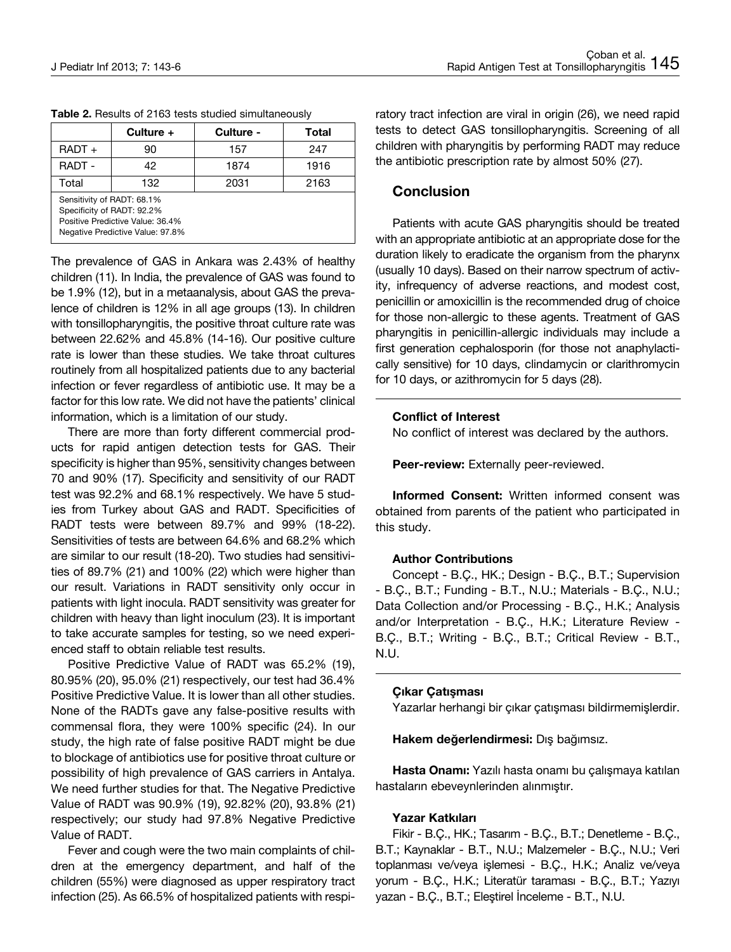|                                                                                                                                  | Culture + | Culture - | <b>Total</b> |  |
|----------------------------------------------------------------------------------------------------------------------------------|-----------|-----------|--------------|--|
| $RADT +$                                                                                                                         | 90        | 157       | 247          |  |
| <b>RADT -</b>                                                                                                                    | 42        | 1874      | 1916         |  |
| Total                                                                                                                            | 132       | 2031      | 2163         |  |
| Sensitivity of RADT: 68.1%<br>Specificity of RADT: 92.2%<br>Positive Predictive Value: 36.4%<br>Negative Predictive Value: 97.8% |           |           |              |  |

**Table 2.** Results of 2163 tests studied simultaneously

The prevalence of GAS in Ankara was 2.43% of healthy children (11). In India, the prevalence of GAS was found to be 1.9% (12), but in a metaanalysis, about GAS the prevalence of children is 12% in all age groups (13). In children with tonsillopharyngitis, the positive throat culture rate was between 22.62% and 45.8% (14-16). Our positive culture rate is lower than these studies. We take throat cultures routinely from all hospitalized patients due to any bacterial infection or fever regardless of antibiotic use. It may be a factor for this low rate. We did not have the patients' clinical information, which is a limitation of our study.

There are more than forty different commercial products for rapid antigen detection tests for GAS. Their specificity is higher than 95%, sensitivity changes between 70 and 90% (17). Specificity and sensitivity of our RADT test was 92.2% and 68.1% respectively. We have 5 studies from Turkey about GAS and RADT. Specificities of RADT tests were between 89.7% and 99% (18-22). Sensitivities of tests are between 64.6% and 68.2% which are similar to our result (18-20). Two studies had sensitivities of 89.7% (21) and 100% (22) which were higher than our result. Variations in RADT sensitivity only occur in patients with light inocula. RADT sensitivity was greater for children with heavy than light inoculum (23). It is important to take accurate samples for testing, so we need experienced staff to obtain reliable test results.

Positive Predictive Value of RADT was 65.2% (19), 80.95% (20), 95.0% (21) respectively, our test had 36.4% Positive Predictive Value. It is lower than all other studies. None of the RADTs gave any false-positive results with commensal flora, they were 100% specific (24). In our study, the high rate of false positive RADT might be due to blockage of antibiotics use for positive throat culture or possibility of high prevalence of GAS carriers in Antalya. We need further studies for that. The Negative Predictive Value of RADT was 90.9% (19), 92.82% (20), 93.8% (21) respectively; our study had 97.8% Negative Predictive Value of RADT.

Fever and cough were the two main complaints of children at the emergency department, and half of the children (55%) were diagnosed as upper respiratory tract infection (25). As 66.5% of hospitalized patients with respiratory tract infection are viral in origin (26), we need rapid tests to detect GAS tonsillopharyngitis. Screening of all children with pharyngitis by performing RADT may reduce the antibiotic prescription rate by almost 50% (27).

## **Conclusion**

Patients with acute GAS pharyngitis should be treated with an appropriate antibiotic at an appropriate dose for the duration likely to eradicate the organism from the pharynx (usually 10 days). Based on their narrow spectrum of activity, infrequency of adverse reactions, and modest cost, penicillin or amoxicillin is the recommended drug of choice for those non-allergic to these agents. Treatment of GAS pharyngitis in penicillin-allergic individuals may include a first generation cephalosporin (for those not anaphylactically sensitive) for 10 days, clindamycin or clarithromycin for 10 days, or azithromycin for 5 days (28).

## **Conflict of Interest**

No conflict of interest was declared by the authors.

Peer-review: Externally peer-reviewed.

**Informed Consent:** Written informed consent was obtained from parents of the patient who participated in this study.

## **Author Contributions**

Concept - B.Ç., HK.; Design - B.Ç., B.T.; Supervision - B.Ç., B.T.; Funding - B.T., N.U.; Materials - B.Ç., N.U.; Data Collection and/or Processing - B.Ç., H.K.; Analysis and/or Interpretation - B.Ç., H.K.; Literature Review - B.Ç., B.T.; Writing - B.Ç., B.T.; Critical Review - B.T., N.U.

#### **Çıkar Çatışması**

Yazarlar herhangi bir çıkar çatışması bildirmemişlerdir.

**Hakem değerlendirmesi:** Dış bağımsız.

**Hasta Onamı:** Yazılı hasta onamı bu çalışmaya katılan hastaların ebeveynlerinden alınmıştır.

### **Yazar Katkıları**

Fikir - B.Ç., HK.; Tasarım - B.Ç., B.T.; Denetleme - B.Ç., B.T.; Kaynaklar - B.T., N.U.; Malzemeler - B.Ç., N.U.; Veri toplanması ve/veya işlemesi - B.Ç., H.K.; Analiz ve/veya yorum - B.Ç., H.K.; Literatür taraması - B.Ç., B.T.; Yazıyı yazan - B.Ç., B.T.; Eleştirel İnceleme - B.T., N.U.